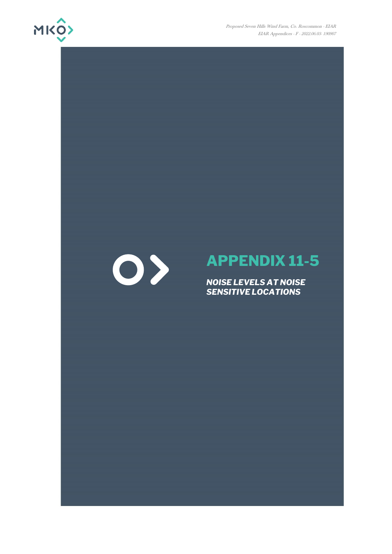

Proposed Seven Hills Wind Farm, Co. Roscommon - EIAR EIAR Appendices - F - 2022.06.03- 190907

## $\bigcirc$

## **APPENDIX 11-5**

*NOISE LEVELS AT NOISE SENSITIVE LOCATIONS*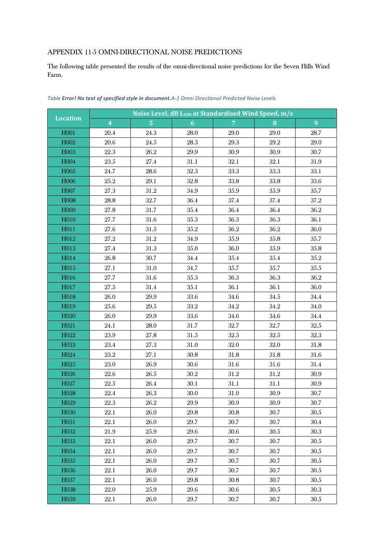## APPENDIX 11-5 OMNI-DIRECTIONAL NOISE PREDICTIONS

The following table presented the results of the omni-directional noise predictions for the Seven Hills Wind Farm.

| Noise Level, dB LA90 at Standardised Wind Speed, m/s |                         |                |          |                |          |          |
|------------------------------------------------------|-------------------------|----------------|----------|----------------|----------|----------|
| <b>Location</b>                                      | $\overline{\mathbf{4}}$ | 5 <sup>1</sup> | 6        | $\overline{7}$ | 8        | 9        |
| H001                                                 | 20.4                    | 24.3           | 28.0     | 29.0           | 29.0     | 28.7     |
| H002                                                 | 20.6                    | 24.5           | 28.3     | 29.3           | $29.2\,$ | 29.0     |
| H003                                                 | 22.3                    | $26.2\,$       | $29.9\,$ | 30.9           | 30.9     | $30.7\,$ |
| H004                                                 | 23.5                    | 27.4           | 31.1     | 32.1           | 32.1     | 31.9     |
| H005                                                 | 24.7                    | 28.6           | 32.3     | 33.3           | 33.3     | 33.1     |
| H006                                                 | $25.2\,$                | 29.1           | 32.8     | 33.8           | 33.8     | 33.6     |
| H007                                                 | 27.3                    | $31.2\,$       | $34.9\,$ | 35.9           | $35.9\,$ | 35.7     |
| H008                                                 | 28.8                    | 32.7           | 36.4     | 37.4           | 37.4     | $37.2\,$ |
| H009                                                 | $27.8\,$                | 31.7           | $35.4\,$ | 36.4           | 36.4     | 36.2     |
| H010                                                 | 27.7                    | 31.6           | 35.3     | 36.3           | 36.3     | 36.1     |
| H011                                                 | 27.6                    | 31.5           | $35.2\,$ | 36.2           | 36.2     | 36.0     |
| H012                                                 | 27.2                    | 31.2           | $34.9\,$ | 35.9           | $35.8\,$ | 35.7     |
| H013                                                 | 27.4                    | 31.3           | $35.0\,$ | 36.0           | $35.9\,$ | 35.8     |
| H014                                                 | 26.8                    | 30.7           | $34.4\,$ | $35.4\,$       | 35.4     | $35.2\,$ |
| H015                                                 | 27.1                    | 31.0           | 34.7     | 35.7           | 35.7     | $35.5\,$ |
| H016                                                 | 27.7                    | 31.6           | 35.3     | 36.3           | 36.3     | 36.2     |
| H017                                                 | 27.5                    | 31.4           | 35.1     | 36.1           | 36.1     | 36.0     |
| H018                                                 | 26.0                    | $29.9\,$       | 33.6     | 34.6           | $34.5\,$ | $34.4\,$ |
| H019                                                 | 25.6                    | $29.5\,$       | 33.2     | 34.2           | 34.2     | 34.0     |
| H020                                                 | 26.0                    | 29.9           | 33.6     | 34.6           | 34.6     | $34.4\,$ |
| H021                                                 | 24.1                    | 28.0           | $31.7\,$ | 32.7           | 32.7     | $32.5\,$ |
| H <sub>022</sub>                                     | 23.9                    | 27.8           | $31.5\,$ | $32.5\,$       | $32.5\,$ | $32.3\,$ |
| H023                                                 | $23.4\,$                | 27.3           | 31.0     | $32.0\,$       | 32.0     | $31.8\,$ |
| H024                                                 | $23.2\,$                | 27.1           | $30.8\,$ | 31.8           | 31.8     | 31.6     |
| H025                                                 | 23.0                    | 26.9           | $30.6\,$ | $31.6\,$       | 31.6     | $31.4\,$ |
| H026                                                 | 22.6                    | 26.5           | $30.2\,$ | 31.2           | 31.2     | 30.9     |
| H027                                                 | $22.5\,$                | 26.4           | 30.1     | 31.1           | 31.1     | $30.9\,$ |
| H028                                                 | 22.4                    | 26.3           | 30.0     | 31.0           | 30.9     | $30.7\,$ |
| H029                                                 | $22.3\,$                | $26.2\,$       | $29.9\,$ | 30.9           | $30.9\,$ | 30.7     |
| H <sub>0</sub> 30                                    | 22.1                    | 26.0           | 29.8     | 30.8           | 30.7     | 30.5     |
| H031                                                 | 22.1                    | 26.0           | 29.7     | 30.7           | 30.7     | 30.4     |
| H <sub>0</sub> 32                                    | 21.9                    | 25.9           | 29.6     | $30.6\,$       | 30.5     | 30.3     |
| H033                                                 | 22.1                    | 26.0           | 29.7     | 30.7           | 30.7     | $30.5\,$ |
| H034                                                 | 22.1                    | 26.0           | 29.7     | 30.7           | 30.7     | 30.5     |
| H <sub>0</sub> 35                                    | 22.1                    | 26.0           | 29.7     | 30.7           | 30.7     | $30.5\,$ |
| H036                                                 | 22.1                    | 26.0           | 29.7     | 30.7           | 30.7     | 30.5     |
| H037                                                 | 22.1                    | 26.0           | 29.8     | $30.8\,$       | 30.7     | $30.5\,$ |
| H038                                                 | 22.0                    | 25.9           | 29.6     | 30.6           | 30.5     | 30.3     |
| H039                                                 | 22.1                    | 26.0           | 29.7     | 30.7           | 30.7     | 30.5     |

*Table Error! No text of specified style in document.A-1 Omni Directional Predicted Noise Levels*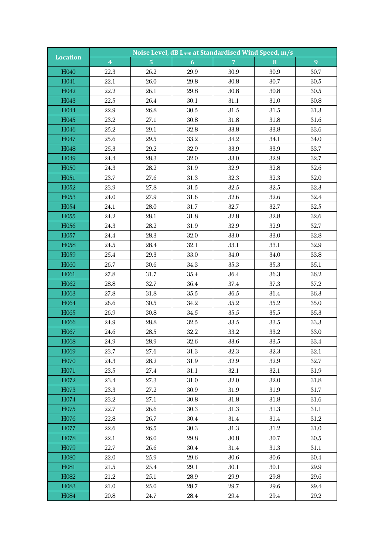| <b>Location</b>                        |                         | Noise Level, dB LA90 at Standardised Wind Speed, m/s |              |                |              |              |  |  |  |
|----------------------------------------|-------------------------|------------------------------------------------------|--------------|----------------|--------------|--------------|--|--|--|
|                                        | $\overline{\mathbf{4}}$ | $\overline{5}$                                       | 6            | $\overline{7}$ | 8            | 9            |  |  |  |
| H040                                   | 22.3                    | 26.2                                                 | 29.9         | 30.9           | 30.9         | 30.7         |  |  |  |
| H041                                   | 22.1                    | 26.0                                                 | 29.8         | 30.8           | 30.7         | $30.5\,$     |  |  |  |
| H042                                   | $22.2\,$                | 26.1                                                 | 29.8         | $30.8\,$       | $30.8\,$     | $30.5\,$     |  |  |  |
| H043                                   | 22.5                    | 26.4                                                 | 30.1         | 31.1           | 31.0         | $30.8\,$     |  |  |  |
| H044                                   | 22.9                    | 26.8                                                 | $30.5\,$     | 31.5           | $31.5\,$     | 31.3         |  |  |  |
| H045                                   | $23.2\,$                | 27.1                                                 | 30.8         | 31.8           | 31.8         | 31.6         |  |  |  |
| H046                                   | $25.2\,$                | 29.1                                                 | $32.8\,$     | $33.8\,$       | 33.8         | 33.6         |  |  |  |
| H047                                   | 25.6                    | $29.5\,$                                             | 33.2         | 34.2           | 34.1         | 34.0         |  |  |  |
| H048                                   | $25.3\,$                | $29.2\,$                                             | $32.9\,$     | 33.9           | 33.9         | 33.7         |  |  |  |
| H049                                   | 24.4                    | 28.3                                                 | 32.0         | 33.0           | 32.9         | 32.7         |  |  |  |
| H050                                   | 24.3                    | 28.2                                                 | 31.9         | 32.9           | 32.8         | 32.6         |  |  |  |
| H051                                   | 23.7                    | 27.6                                                 | $31.3\,$     | 32.3           | $32.3\,$     | 32.0         |  |  |  |
| H052                                   | 23.9                    | 27.8                                                 | 31.5         | 32.5           | $32.5\,$     | 32.3         |  |  |  |
| H053                                   | 24.0                    | 27.9                                                 | 31.6         | 32.6           | $32.6\,$     | 32.4         |  |  |  |
| H054                                   | 24.1                    | 28.0                                                 | 31.7         | 32.7           | 32.7         | $32.5\,$     |  |  |  |
| H055                                   | $24.2\,$                | 28.1                                                 | $31.8\,$     | 32.8           | 32.8         | 32.6         |  |  |  |
| H056                                   | 24.3                    | 28.2                                                 | 31.9         | $32.9\,$       | 32.9         | 32.7         |  |  |  |
| H057                                   | $24.4\,$                | 28.3                                                 | 32.0         | 33.0           | 33.0         | 32.8         |  |  |  |
| H058                                   | 24.5                    | 28.4                                                 | 32.1         | 33.1           | 33.1         | 32.9         |  |  |  |
| H059                                   | $25.4\,$                | 29.3                                                 | 33.0         | 34.0           | 34.0         | 33.8         |  |  |  |
| H060                                   | 26.7                    | 30.6                                                 | $34.3\,$     | 35.3           | 35.3         | 35.1         |  |  |  |
| H061                                   | 27.8                    | 31.7                                                 | $35.4\,$     | 36.4           | 36.3         | $36.2\,$     |  |  |  |
| H062                                   | $28.8\,$                | 32.7                                                 | 36.4         | 37.4           | 37.3         | 37.2         |  |  |  |
| H063                                   | 27.8                    | 31.8                                                 | $35.5\,$     | 36.5           | 36.4         | 36.3         |  |  |  |
| H064                                   | 26.6                    | 30.5                                                 | $34.2\,$     | $35.2\,$       | $35.2\,$     | $35.0\,$     |  |  |  |
| H065                                   | 26.9                    | 30.8                                                 | $34.5\,$     | 35.5           | 35.5         | 35.3         |  |  |  |
| H066                                   | $24.9\,$                | 28.8                                                 | $32.5\,$     | $33.5\,$       | 33.5         | 33.3         |  |  |  |
| H067                                   | 24.6                    | $28.5\,$                                             | $32.2\,$     | 33.2           | 33.2         | $33.0\,$     |  |  |  |
| H068                                   | $24.9\,$                | $28.9\,$                                             | 32.6         | 33.6           | $33.5\,$     | $33.4\,$     |  |  |  |
| H <sub>069</sub>                       | 23.7                    | 27.6                                                 | 31.3         | 32.3           | 32.3         | 32.1         |  |  |  |
| H <sub>0</sub> 70                      | 24.3                    | 28.2                                                 | 31.9         | 32.9           | 32.9         | 32.7         |  |  |  |
| H <sub>0</sub> 71                      | 23.5                    | 27.4                                                 | 31.1         | 32.1           | 32.1         | $31.9\,$     |  |  |  |
| H072                                   | 23.4                    | 27.3                                                 | 31.0         | 32.0           | 32.0         | 31.8         |  |  |  |
| H <sub>0</sub> 73<br>H <sub>0</sub> 74 | 23.3<br>23.2            | 27.2<br>27.1                                         | 30.9<br>30.8 | 31.9<br>31.8   | 31.9<br>31.8 | 31.7<br>31.6 |  |  |  |
| H075                                   | 22.7                    | 26.6                                                 | 30.3         | 31.3           | 31.3         | 31.1         |  |  |  |
| H076                                   | $22.8\,$                | 26.7                                                 |              | $31.4\,$       |              | $31.2\,$     |  |  |  |
| H077                                   | 22.6                    | 26.5                                                 | 30.4<br>30.3 | 31.3           | 31.4<br>31.2 | 31.0         |  |  |  |
| H <sub>0</sub> 78                      | 22.1                    | 26.0                                                 | 29.8         | 30.8           | 30.7         | 30.5         |  |  |  |
| H079                                   | 22.7                    | 26.6                                                 | 30.4         | 31.4           | 31.3         | 31.1         |  |  |  |
| H <sub>0</sub> 80                      | 22.0                    | 25.9                                                 | 29.6         | 30.6           | 30.6         | 30.4         |  |  |  |
| H081                                   | 21.5                    | 25.4                                                 | 29.1         | 30.1           | 30.1         | 29.9         |  |  |  |
| H082                                   | $21.2\,$                | 25.1                                                 | 28.9         | 29.9           | 29.8         | 29.6         |  |  |  |
| H <sub>0</sub> 83                      | $21.0\,$                | 25.0                                                 | 28.7         | 29.7           | 29.6         | 29.4         |  |  |  |
| H084                                   | 20.8                    | 24.7                                                 | 28.4         | 29.4           | 29.4         | 29.2         |  |  |  |
|                                        |                         |                                                      |              |                |              |              |  |  |  |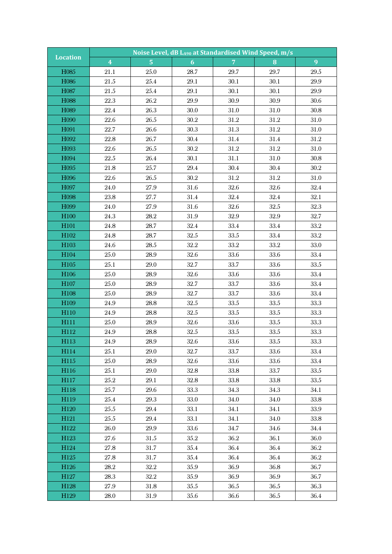| Noise Level, dB LA90 at Standardised Wind Speed, m/s<br><b>Location</b> |                         |                  |              |                |              |              |  |
|-------------------------------------------------------------------------|-------------------------|------------------|--------------|----------------|--------------|--------------|--|
|                                                                         | $\overline{\mathbf{4}}$ | $\overline{5}$   | 6            | 7 <sup>°</sup> | 8            | 9            |  |
| H085                                                                    | 21.1                    | 25.0             | 28.7         | 29.7           | 29.7         | $29.5\,$     |  |
| H086                                                                    | $21.5\,$                | $25.4\,$         | $29.1\,$     | 30.1           | 30.1         | $29.9\,$     |  |
| H087                                                                    | $21.5\,$                | $25.4\,$         | 29.1         | 30.1           | 30.1         | 29.9         |  |
| H088                                                                    | 22.3                    | 26.2             | 29.9         | 30.9           | 30.9         | 30.6         |  |
| H089                                                                    | 22.4                    | 26.3             | 30.0         | 31.0           | 31.0         | 30.8         |  |
| H090                                                                    | 22.6                    | 26.5             | $30.2\,$     | 31.2           | 31.2         | 31.0         |  |
| H091                                                                    | 22.7                    | 26.6             | 30.3         | $31.3\,$       | $31.2\,$     | 31.0         |  |
| H092                                                                    | 22.8                    | 26.7             | 30.4         | 31.4           | 31.4         | 31.2         |  |
| H093                                                                    | $22.6\,$                | $26.5\,$         | $30.2\,$     | $31.2\,$       | $31.2\,$     | 31.0         |  |
| H094                                                                    | 22.5                    | 26.4             | 30.1         | 31.1           | 31.0         | 30.8         |  |
| H095                                                                    | 21.8                    | 25.7             | $29.4\,$     | 30.4           | 30.4         | $30.2\,$     |  |
| H096                                                                    | $22.6\,$                | $26.5\,$         | $30.2\,$     | $31.2\,$       | 31.2         | 31.0         |  |
| H097                                                                    | $24.0\,$                | 27.9             | 31.6         | 32.6           | 32.6         | 32.4         |  |
| H098                                                                    | $23.8\,$                | 27.7             | 31.4         | $32.4\,$       | 32.4         | 32.1         |  |
| H099                                                                    | 24.0                    | 27.9             | 31.6         | 32.6           | $32.5\,$     | 32.3         |  |
| H100                                                                    | 24.3                    | $28.2\,$         | $31.9\,$     | 32.9           | 32.9         | 32.7         |  |
| H <sub>101</sub>                                                        | 24.8                    | 28.7             | 32.4         | 33.4           | 33.4         | $33.2\,$     |  |
| H102                                                                    | $24.8\,$                | 28.7             | $32.5\,$     | $33.5\,$       | 33.4         | $33.2\,$     |  |
| H103                                                                    | 24.6                    | $28.5\,$         | $32.2\,$     | 33.2           | 33.2         | 33.0         |  |
| H104                                                                    | 25.0                    | 28.9             | 32.6         | 33.6           | 33.6         | 33.4         |  |
| H105                                                                    | 25.1                    | 29.0             | 32.7         | 33.7           | 33.6         | $33.5\,$     |  |
| H106                                                                    | $25.0\,$                | 28.9             | 32.6         | 33.6           | $33.6\,$     | 33.4         |  |
| H107                                                                    | $25.0\,$                | 28.9             | 32.7         | 33.7           | 33.6         | 33.4         |  |
| H108                                                                    | 25.0                    | 28.9             | 32.7         | 33.7           | 33.6         | 33.4         |  |
| H109                                                                    | $24.9\,$                | 28.8             | $32.5\,$     | 33.5           | 33.5         | 33.3         |  |
| H110                                                                    | 24.9                    | 28.8             | $32.5\,$     | 33.5           | 33.5         | 33.3         |  |
| H111                                                                    | $25.0\,$                | $28.9\,$         | 32.6         | $33.6\,$       | 33.5         | 33.3         |  |
| H112                                                                    | 24.9                    | 28.8             | $32.5\,$     | 33.5           | 33.5         | $33.3\,$     |  |
| H113                                                                    | $24.9\,$                | $28.9\,$         | 32.6         | 33.6           | $33.5\,$     | $33.3\,$     |  |
| H114                                                                    | 25.1                    | 29.0             | 32.7         | 33.7           | 33.6         | 33.4         |  |
| H115                                                                    | 25.0                    | 28.9             | 32.6         | 33.6           | 33.6         | 33.4         |  |
| H116                                                                    | 25.1                    | 29.0<br>$29.1\,$ | 32.8         | 33.8           | 33.7         | 33.5         |  |
| H117<br>H118                                                            | 25.2<br>25.7            | 29.6             | 32.8<br>33.3 | 33.8<br>34.3   | 33.8<br>34.3 | 33.5<br>34.1 |  |
| H119                                                                    | 25.4                    | 29.3             | 33.0         | 34.0           | 34.0         | $33.8\,$     |  |
| H120                                                                    | 25.5                    | 29.4             | 33.1         | 34.1           | 34.1         | 33.9         |  |
| H121                                                                    | 25.5                    | $29.4\,$         | 33.1         | 34.1           | 34.0         | 33.8         |  |
| H122                                                                    | 26.0                    | 29.9             | 33.6         | 34.7           | 34.6         | 34.4         |  |
| H <sub>123</sub>                                                        | 27.6                    | 31.5             | $35.2\,$     | 36.2           | 36.1         | 36.0         |  |
| H124                                                                    | 27.8                    | 31.7             | 35.4         | 36.4           | 36.4         | 36.2         |  |
| H125                                                                    | 27.8                    | 31.7             | $35.4\,$     | 36.4           | 36.4         | 36.2         |  |
| H126                                                                    | 28.2                    | $32.2\,$         | 35.9         | 36.9           | 36.8         | 36.7         |  |
| H127                                                                    | 28.3                    | $32.2\,$         | 35.9         | 36.9           | 36.9         | 36.7         |  |
| H <sub>128</sub>                                                        | 27.9                    | $31.8\,$         | 35.5         | 36.5           | 36.5         | 36.3         |  |
| H129                                                                    | 28.0                    | 31.9             | 35.6         | 36.6           | 36.5         | 36.4         |  |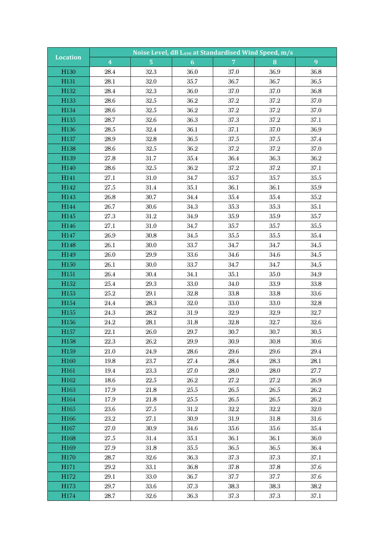| <b>Location</b>          | Noise Level, dB LA90 at Standardised Wind Speed, m/s |                  |              |                |              |              |  |  |
|--------------------------|------------------------------------------------------|------------------|--------------|----------------|--------------|--------------|--|--|
|                          | $\overline{\mathbf{4}}$                              | $\overline{5}$   | 6            | 7 <sup>1</sup> | 8            | 9            |  |  |
| H130                     | 28.4                                                 | 32.3             | 36.0         | 37.0           | 36.9         | 36.8         |  |  |
| H131                     | 28.1                                                 | 32.0             | 35.7         | 36.7           | 36.7         | $36.5\,$     |  |  |
| H132                     | $28.4\,$                                             | 32.3             | 36.0         | 37.0           | 37.0         | 36.8         |  |  |
| H133                     | 28.6                                                 | 32.5             | $36.2\,$     | $37.2\,$       | $37.2\,$     | 37.0         |  |  |
| H134                     | $28.6\,$                                             | $32.5\,$         | 36.2         | $37.2\,$       | 37.2         | 37.0         |  |  |
| H135                     | 28.7                                                 | 32.6             | 36.3         | $37.3\,$       | 37.2         | 37.1         |  |  |
| H136                     | $28.5\,$                                             | 32.4             | 36.1         | 37.1           | 37.0         | 36.9         |  |  |
| H137                     | 28.9                                                 | 32.8             | 36.5         | 37.5           | 37.5         | 37.4         |  |  |
| H138                     | $28.6\,$                                             | $32.5\,$         | 36.2         | $37.2\,$       | $37.2\,$     | 37.0         |  |  |
| H139                     | 27.8                                                 | 31.7             | $35.4\,$     | 36.4           | 36.3         | 36.2         |  |  |
| H140                     | 28.6                                                 | 32.5             | $36.2\,$     | 37.2           | $37.2\,$     | 37.1         |  |  |
| H141                     | 27.1                                                 | 31.0             | 34.7         | 35.7           | 35.7         | $35.5\,$     |  |  |
| H142                     | 27.5                                                 | 31.4             | $35.1\,$     | 36.1           | 36.1         | $35.9\,$     |  |  |
| H143                     | $26.8\,$                                             | 30.7             | $34.4\,$     | $35.4\,$       | 35.4         | $35.2\,$     |  |  |
| H144                     | 26.7                                                 | 30.6             | 34.3         | 35.3           | 35.3         | 35.1         |  |  |
| H145                     | 27.3                                                 | $31.2\,$         | $34.9\,$     | $35.9\,$       | 35.9         | 35.7         |  |  |
| H146                     | 27.1                                                 | 31.0             | 34.7         | 35.7           | 35.7         | $35.5\,$     |  |  |
| H147                     | $26.9\,$                                             | $30.8\,$         | $34.5\,$     | $35.5\,$       | $35.5\,$     | $35.4\,$     |  |  |
| H148                     | 26.1                                                 | 30.0             | 33.7         | 34.7           | 34.7         | $34.5\,$     |  |  |
| H149                     | 26.0                                                 | 29.9             | 33.6         | 34.6           | 34.6         | 34.5         |  |  |
| H150                     | 26.1                                                 | 30.0             | 33.7         | 34.7           | 34.7         | $34.5\,$     |  |  |
| H151                     | $26.4\,$                                             | $30.4\,$         | 34.1         | $35.1\,$       | $35.0\,$     | $34.9\,$     |  |  |
| H152                     | $25.4\,$                                             | 29.3             | 33.0         | $34.0\,$       | 33.9         | 33.8         |  |  |
| H153                     | $25.2\,$                                             | 29.1             | $32.8\,$     | 33.8           | 33.8         | 33.6         |  |  |
| H154                     | $24.4\,$                                             | 28.3             | 32.0         | 33.0           | 33.0         | $32.8\,$     |  |  |
| H155                     | 24.3                                                 | $28.2\,$         | 31.9         | 32.9           | 32.9         | 32.7         |  |  |
| H156                     | $24.2\,$                                             | 28.1             | $31.8\,$     | $32.8\,$       | 32.7         | 32.6         |  |  |
| H157                     | 22.1                                                 | 26.0             | 29.7         | 30.7           | 30.7         | $30.5\,$     |  |  |
| H158                     | $22.3\,$                                             | 26.2             | $29.9\,$     | $30.9\,$       | $30.8\,$     | $30.6\,$     |  |  |
| H <sub>159</sub>         | 21.0                                                 | 24.9             | 28.6         | 29.6           | 29.6         | 29.4         |  |  |
| H160                     | 19.8                                                 | 23.7             | 27.4         | 28.4           | 28.3         | 28.1         |  |  |
| H <sub>161</sub><br>H162 | 19.4<br>18.6                                         | 23.3<br>$22.5\,$ | 27.0<br>26.2 | 28.0<br>27.2   | 28.0<br>27.2 | 27.7<br>26.9 |  |  |
| H163                     | 17.9                                                 | 21.8             | 25.5         | $26.5\,$       | 26.5         | 26.2         |  |  |
| H <sub>164</sub>         | 17.9                                                 | 21.8             | 25.5         | 26.5           | 26.5         | 26.2         |  |  |
| H165                     | 23.6                                                 | 27.5             | 31.2         | $32.2\,$       | 32.2         | 32.0         |  |  |
| H166                     | 23.2                                                 | 27.1             | 30.9         | 31.9           | 31.8         | 31.6         |  |  |
| H167                     | 27.0                                                 | 30.9             | 34.6         | 35.6           | 35.6         | 35.4         |  |  |
| H <sub>168</sub>         | 27.5                                                 | 31.4             | 35.1         | 36.1           | 36.1         | 36.0         |  |  |
| H169                     | 27.9                                                 | 31.8             | 35.5         | 36.5           | 36.5         | 36.4         |  |  |
| H170                     | 28.7                                                 | 32.6             | 36.3         | 37.3           | 37.3         | 37.1         |  |  |
| H171                     | 29.2                                                 | 33.1             | 36.8         | 37.8           | 37.8         | 37.6         |  |  |
| H172                     | 29.1                                                 | 33.0             | 36.7         | 37.7           | 37.7         | 37.6         |  |  |
| H173                     | 29.7                                                 | 33.6             | 37.3         | 38.3           | 38.3         | $38.2\,$     |  |  |
| H174                     | 28.7                                                 | 32.6             | 36.3         | 37.3           | 37.3         | 37.1         |  |  |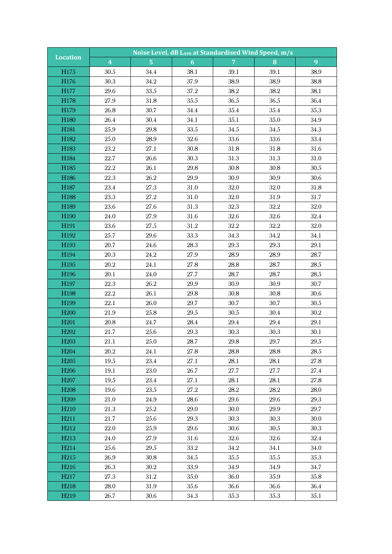| <b>Location</b>   |                         | Noise Level, dB LA90 at Standardised Wind Speed, m/s |          |                |          |          |  |  |
|-------------------|-------------------------|------------------------------------------------------|----------|----------------|----------|----------|--|--|
|                   | $\overline{\mathbf{4}}$ | $\overline{5}$                                       | 6        | $\overline{7}$ | 8        | 9        |  |  |
| H175              | 30.5                    | 34.4                                                 | 38.1     | 39.1           | 39.1     | 38.9     |  |  |
| H176              | 30.3                    | $34.2\,$                                             | 37.9     | 38.9           | 38.9     | 38.8     |  |  |
| H177              | 29.6                    | 33.5                                                 | 37.2     | 38.2           | 38.2     | 38.1     |  |  |
| H178              | 27.9                    | 31.8                                                 | $35.5\,$ | 36.5           | 36.5     | 36.4     |  |  |
| H179              | 26.8                    | 30.7                                                 | 34.4     | 35.4           | 35.4     | 35.3     |  |  |
| H180              | 26.4                    | 30.4                                                 | 34.1     | 35.1           | 35.0     | 34.9     |  |  |
| H181              | $25.9\,$                | 29.8                                                 | 33.5     | $34.5\,$       | 34.5     | 34.3     |  |  |
| H182              | 25.0                    | 28.9                                                 | 32.6     | 33.6           | 33.6     | 33.4     |  |  |
| H183              | $23.2\,$                | 27.1                                                 | 30.8     | $31.8\,$       | 31.8     | 31.6     |  |  |
| H184              | 22.7                    | 26.6                                                 | 30.3     | 31.3           | 31.3     | 31.0     |  |  |
| H185              | 22.2                    | 26.1                                                 | 29.8     | $30.8\,$       | 30.8     | 30.5     |  |  |
| H186              | 22.3                    | $26.2\,$                                             | $29.9\,$ | 30.9           | 30.9     | 30.6     |  |  |
| H187              | 23.4                    | 27.3                                                 | 31.0     | 32.0           | $32.0\,$ | 31.8     |  |  |
| H188              | $23.3\,$                | 27.2                                                 | 31.0     | 32.0           | 31.9     | 31.7     |  |  |
| H189              | 23.6                    | 27.6                                                 | 31.3     | $32.3\,$       | $32.2\,$ | 32.0     |  |  |
| H190              | $24.0\,$                | 27.9                                                 | 31.6     | $32.6\,$       | 32.6     | $32.4\,$ |  |  |
| H <sub>191</sub>  | 23.6                    | 27.5                                                 | 31.2     | $32.2\,$       | $32.2\,$ | 32.0     |  |  |
| H192              | $25.7\,$                | $29.6\,$                                             | 33.3     | 34.3           | $34.2\,$ | 34.1     |  |  |
| H193              | 20.7                    | 24.6                                                 | 28.3     | 29.3           | $29.3\,$ | 29.1     |  |  |
| H194              | 20.3                    | 24.2                                                 | 27.9     | 28.9           | 28.9     | 28.7     |  |  |
| H195              | $20.2\,$                | 24.1                                                 | 27.8     | 28.8           | 28.7     | $28.5\,$ |  |  |
| H196              | 20.1                    | 24.0                                                 | 27.7     | 28.7           | 28.7     | $28.5\,$ |  |  |
| H197              | $22.3\,$                | $26.2\,$                                             | 29.9     | 30.9           | 30.9     | 30.7     |  |  |
| H198              | 22.2                    | 26.1                                                 | 29.8     | 30.8           | 30.8     | 30.6     |  |  |
| H199              | 22.1                    | 26.0                                                 | 29.7     | 30.7           | 30.7     | $30.5\,$ |  |  |
| H <sub>200</sub>  | 21.9                    | 25.8                                                 | $29.5\,$ | $30.5\,$       | 30.4     | 30.2     |  |  |
| H <sub>201</sub>  | $20.8\,$                | 24.7                                                 | 28.4     | $29.4\,$       | 29.4     | $29.1\,$ |  |  |
| H <sub>202</sub>  | 21.7                    | 25.6                                                 | 29.3     | 30.3           | 30.3     | 30.1     |  |  |
| H <sub>203</sub>  | 21.1                    | 25.0                                                 | $28.7\,$ | $29.8\,$       | $29.7\,$ | $29.5\,$ |  |  |
| H <sub>204</sub>  | 20.2                    | 24.1                                                 | 27.8     | 28.8           | 28.8     | 28.5     |  |  |
| H <sub>205</sub>  | 19.5                    | 23.4                                                 | 27.1     | 28.1           | 28.1     | $27.8\,$ |  |  |
| H <sub>206</sub>  | 19.1                    | 23.0                                                 | 26.7     | 27.7           | 27.7     | 27.4     |  |  |
| H <sub>207</sub>  | 19.5                    | 23.4                                                 | $27.1\,$ | 28.1           | $28.1\,$ | 27.8     |  |  |
| H <sub>208</sub>  | 19.6                    | 23.5                                                 | 27.2     | $28.2\,$       | 28.2     | 28.0     |  |  |
| H <sub>209</sub>  | $21.0\,$                | 24.9                                                 | 28.6     | 29.6           | 29.6     | 29.3     |  |  |
| H <sub>210</sub>  | 21.3                    | 25.2                                                 | 29.0     | 30.0           | 29.9     | 29.7     |  |  |
| H <sub>211</sub>  | 21.7                    | 25.6                                                 | 29.3     | 30.3           | 30.3     | 30.0     |  |  |
| H <sub>212</sub>  | 22.0                    | 25.9                                                 | 29.6     | 30.6           | $30.5\,$ | 30.3     |  |  |
| H <sub>2</sub> 13 | 24.0                    | 27.9                                                 | 31.6     | 32.6           | 32.6     | $32.4\,$ |  |  |
| H <sub>214</sub>  | 25.6                    | 29.5                                                 | 33.2     | 34.2           | 34.1     | 34.0     |  |  |
| H <sub>215</sub>  | 26.9                    | 30.8                                                 | 34.5     | 35.5           | 35.5     | 35.3     |  |  |
| H <sub>216</sub>  | 26.3                    | 30.2                                                 | 33.9     | 34.9           | 34.9     | 34.7     |  |  |
| H <sub>217</sub>  | 27.3                    | 31.2                                                 | 35.0     | 36.0           | 35.9     | 35.8     |  |  |
| H <sub>218</sub>  | 28.0                    | 31.9                                                 | 35.6     | 36.6           | 36.6     | 36.4     |  |  |
| H <sub>219</sub>  | 26.7                    | 30.6                                                 | 34.3     | 35.3           | 35.3     | 35.1     |  |  |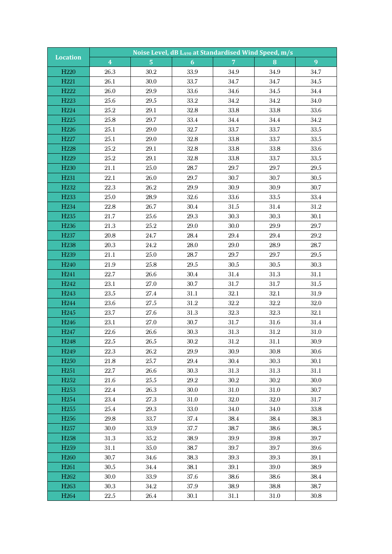|                                      | Noise Level, dB LA90 at Standardised Wind Speed, m/s |                         |                  |                |              |                |
|--------------------------------------|------------------------------------------------------|-------------------------|------------------|----------------|--------------|----------------|
| <b>Location</b>                      | $\overline{\mathbf{4}}$                              | $\overline{\mathbf{5}}$ | $\boldsymbol{6}$ | $\overline{7}$ | 8            | $\overline{9}$ |
| H <sub>220</sub>                     | 26.3                                                 | 30.2                    | 33.9             | 34.9           | 34.9         | 34.7           |
| H <sub>221</sub>                     | 26.1                                                 | 30.0                    | 33.7             | 34.7           | 34.7         | 34.5           |
| H <sub>222</sub>                     | 26.0                                                 | 29.9                    | 33.6             | 34.6           | 34.5         | 34.4           |
| H <sub>223</sub>                     | $25.6\,$                                             | $29.5\,$                | $33.2\,$         | $34.2\,$       | 34.2         | 34.0           |
| H <sub>224</sub>                     | 25.2                                                 | $29.1\,$                | 32.8             | 33.8           | 33.8         | 33.6           |
| H <sub>225</sub>                     | 25.8                                                 | 29.7                    | 33.4             | 34.4           | 34.4         | 34.2           |
| H <sub>226</sub>                     | $25.1\,$                                             | 29.0                    | 32.7             | 33.7           | 33.7         | 33.5           |
| H <sub>227</sub>                     | 25.1                                                 | 29.0                    | 32.8             | 33.8           | 33.7         | 33.5           |
| H <sub>228</sub>                     | $25.2\,$                                             | 29.1                    | 32.8             | 33.8           | 33.8         | 33.6           |
| H <sub>229</sub>                     | 25.2                                                 | 29.1                    | 32.8             | 33.8           | 33.7         | $33.5\,$       |
| H <sub>230</sub>                     | 21.1                                                 | 25.0                    | 28.7             | 29.7           | 29.7         | $29.5\,$       |
| H <sub>231</sub>                     | 22.1                                                 | 26.0                    | 29.7             | 30.7           | 30.7         | 30.5           |
| H <sub>232</sub>                     | 22.3                                                 | 26.2                    | 29.9             | 30.9           | 30.9         | 30.7           |
| H <sub>233</sub>                     | 25.0                                                 | 28.9                    | 32.6             | 33.6           | 33.5         | 33.4           |
| H <sub>234</sub>                     | 22.8                                                 | 26.7                    | 30.4             | 31.5           | 31.4         | 31.2           |
| H <sub>235</sub>                     | 21.7                                                 | 25.6                    | $29.3\,$         | 30.3           | 30.3         | 30.1           |
| H <sub>236</sub>                     | 21.3                                                 | 25.2                    | 29.0             | 30.0           | 29.9         | 29.7           |
| H <sub>237</sub>                     | $20.8\,$                                             | 24.7                    | 28.4             | 29.4           | 29.4         | 29.2           |
| H <sub>238</sub>                     | 20.3                                                 | 24.2                    | 28.0             | 29.0           | 28.9         | 28.7           |
| H <sub>239</sub>                     | 21.1                                                 | 25.0                    | 28.7             | 29.7           | 29.7         | $29.5\,$       |
| H <sub>240</sub>                     | 21.9                                                 | $25.8\,$                | $29.5\,$         | $30.5\,$       | 30.5         | 30.3           |
| H <sub>241</sub>                     | 22.7                                                 | 26.6                    | 30.4             | 31.4           | 31.3         | 31.1           |
| H <sub>242</sub>                     | 23.1                                                 | 27.0                    | 30.7             | 31.7           | 31.7         | $31.5\,$       |
| H <sub>243</sub>                     | 23.5                                                 | 27.4                    | 31.1             | 32.1           | 32.1         | 31.9           |
| H <sub>244</sub>                     | 23.6                                                 | 27.5                    | 31.2             | $32.2\,$       | $32.2\,$     | 32.0           |
| H <sub>245</sub>                     | 23.7                                                 | 27.6                    | 31.3             | 32.3           | 32.3         | 32.1           |
| H <sub>246</sub>                     | $23.1\,$                                             | 27.0                    | 30.7             | 31.7           | 31.6         | 31.4           |
| H <sub>247</sub>                     | 22.6                                                 | 26.6                    | 30.3             | 31.3           | 31.2         | 31.0           |
| H <sub>248</sub>                     | $22.5\,$                                             | 26.5                    | $30.2\,$         | $31.2\,$       | 31.1         | 30.9           |
| H <sub>249</sub>                     | 22.3                                                 | 26.2                    | 29.9             | 30.9           | $30.8\,$     | 30.6           |
| H <sub>250</sub>                     | 21.8                                                 | 25.7                    | 29.4             | 30.4           | 30.3         | 30.1           |
| H <sub>251</sub>                     | 22.7                                                 | 26.6                    | 30.3             | 31.3           | 31.3         | 31.1           |
| H <sub>252</sub><br>H <sub>253</sub> | 21.6<br>22.4                                         | 25.5<br>26.3            | 29.2<br>30.0     | 30.2<br>31.0   | 30.2<br>31.0 | 30.0<br>30.7   |
| H <sub>254</sub>                     | 23.4                                                 | 27.3                    | 31.0             | 32.0           | 32.0         | 31.7           |
| H <sub>255</sub>                     | 25.4                                                 | 29.3                    | 33.0             | 34.0           | 34.0         | 33.8           |
| H <sub>256</sub>                     | 29.8                                                 | 33.7                    | 37.4             | 38.4           | 38.4         | 38.3           |
| H <sub>257</sub>                     | 30.0                                                 | 33.9                    | 37.7             | 38.7           | 38.6         | $38.5\,$       |
| H <sub>258</sub>                     | 31.3                                                 | 35.2                    | 38.9             | 39.9           | 39.8         | 39.7           |
| H <sub>259</sub>                     | 31.1                                                 | 35.0                    | 38.7             | 39.7           | 39.7         | $39.6\,$       |
| H <sub>260</sub>                     | 30.7                                                 | 34.6                    | 38.3             | 39.3           | 39.3         | 39.1           |
| H <sub>261</sub>                     | 30.5                                                 | 34.4                    | 38.1             | 39.1           | 39.0         | 38.9           |
| H <sub>262</sub>                     | 30.0                                                 | 33.9                    | 37.6             | 38.6           | 38.6         | 38.4           |
| H <sub>263</sub>                     | 30.3                                                 | 34.2                    | 37.9             | 38.9           | 38.8         | 38.7           |
| H <sub>264</sub>                     | $22.5\,$                                             | 26.4                    | 30.1             | 31.1           | 31.0         | 30.8           |
|                                      |                                                      |                         |                  |                |              |                |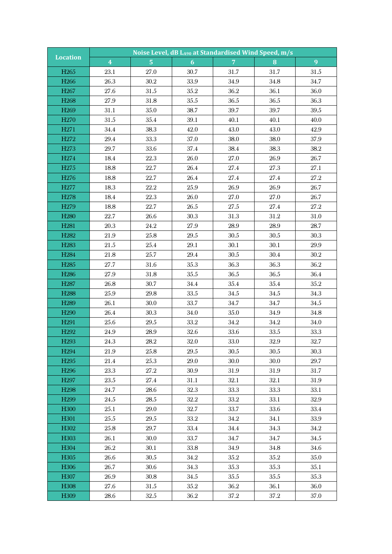| Noise Level, dB LA90 at Standardised Wind Speed, m/s |                         |                         |                  |                |              |              |  |  |
|------------------------------------------------------|-------------------------|-------------------------|------------------|----------------|--------------|--------------|--|--|
| <b>Location</b>                                      | $\overline{\mathbf{4}}$ | $\overline{\mathbf{5}}$ | $\boldsymbol{6}$ | $\overline{7}$ | 8            | 9            |  |  |
| H <sub>265</sub>                                     | 23.1                    | 27.0                    | 30.7             | 31.7           | 31.7         | 31.5         |  |  |
| H <sub>266</sub>                                     | 26.3                    | $30.2\,$                | 33.9             | 34.9           | 34.8         | 34.7         |  |  |
| H <sub>267</sub>                                     | 27.6                    | $31.5\,$                | 35.2             | 36.2           | 36.1         | 36.0         |  |  |
| H <sub>268</sub>                                     | $27.9\,$                | 31.8                    | $35.5\,$         | $36.5\,$       | 36.5         | 36.3         |  |  |
| H <sub>269</sub>                                     | 31.1                    | 35.0                    | 38.7             | 39.7           | 39.7         | $39.5\,$     |  |  |
| H <sub>270</sub>                                     | $31.5\,$                | 35.4                    | 39.1             | 40.1           | 40.1         | 40.0         |  |  |
| H <sub>271</sub>                                     | 34.4                    | 38.3                    | 42.0             | 43.0           | 43.0         | 42.9         |  |  |
| H <sub>272</sub>                                     | $29.4\,$                | $33.3\,$                | 37.0             | 38.0           | 38.0         | 37.9         |  |  |
| H <sub>273</sub>                                     | 29.7                    | 33.6                    | 37.4             | 38.4           | 38.3         | 38.2         |  |  |
| H <sub>274</sub>                                     | 18.4                    | 22.3                    | 26.0             | 27.0           | 26.9         | 26.7         |  |  |
| H <sub>275</sub>                                     | 18.8                    | 22.7                    | 26.4             | 27.4           | 27.3         | 27.1         |  |  |
| H <sub>276</sub>                                     | 18.8                    | 22.7                    | 26.4             | $27.4\,$       | 27.4         | 27.2         |  |  |
| H <sub>277</sub>                                     | 18.3                    | 22.2                    | $25.9\,$         | 26.9           | 26.9         | 26.7         |  |  |
| H <sub>278</sub>                                     | 18.4                    | 22.3                    | 26.0             | 27.0           | 27.0         | 26.7         |  |  |
| H <sub>279</sub>                                     | 18.8                    | 22.7                    | $26.5\,$         | 27.5           | 27.4         | 27.2         |  |  |
| H <sub>280</sub>                                     | 22.7                    | 26.6                    | 30.3             | 31.3           | $31.2\,$     | 31.0         |  |  |
| H <sub>281</sub>                                     | 20.3                    | 24.2                    | 27.9             | 28.9           | 28.9         | 28.7         |  |  |
| H <sub>282</sub>                                     | 21.9                    | 25.8                    | 29.5             | $30.5\,$       | 30.5         | 30.3         |  |  |
| H <sub>283</sub>                                     | 21.5                    | 25.4                    | 29.1             | $30.1\,$       | 30.1         | 29.9         |  |  |
| H <sub>284</sub>                                     | $21.8\,$                | 25.7                    | $29.4\,$         | $30.5\,$       | 30.4         | $30.2\,$     |  |  |
| H <sub>2</sub> 85                                    | 27.7                    | $31.6\,$                | 35.3             | 36.3           | 36.3         | 36.2         |  |  |
| H <sub>286</sub>                                     | 27.9                    | 31.8                    | $35.5\,$         | $36.5\,$       | 36.5         | 36.4         |  |  |
| H <sub>287</sub>                                     | 26.8                    | 30.7                    | 34.4             | $35.4\,$       | 35.4         | $35.2\,$     |  |  |
| H <sub>288</sub>                                     | 25.9                    | 29.8                    | 33.5             | 34.5           | 34.5         | 34.3         |  |  |
| H <sub>289</sub>                                     | 26.1                    | 30.0                    | 33.7             | 34.7           | 34.7         | 34.5         |  |  |
| H <sub>290</sub>                                     | 26.4                    | 30.3                    | 34.0             | 35.0           | 34.9         | 34.8         |  |  |
| H <sub>291</sub>                                     | 25.6                    | $29.5\,$                | $33.2\,$         | $34.2\,$       | $34.2\,$     | 34.0         |  |  |
| H <sub>292</sub>                                     | 24.9                    | $28.9\,$                | 32.6             | 33.6           | 33.5         | 33.3         |  |  |
| H <sub>293</sub>                                     | 24.3                    | $28.2\,$                | 32.0             | $33.0\,$       | $32.9\,$     | 32.7         |  |  |
| H <sub>294</sub>                                     | 21.9                    | 25.8                    | 29.5             | 30.5           | 30.5         | 30.3         |  |  |
| H <sub>295</sub>                                     | 21.4                    | 25.3                    | 29.0             | 30.0           | 30.0         | 29.7         |  |  |
| H <sub>296</sub>                                     | 23.3                    | 27.2                    | 30.9             | 31.9           | 31.9         | 31.7         |  |  |
| H <sub>297</sub>                                     | 23.5                    | 27.4                    | 31.1             | 32.1           | 32.1         | 31.9         |  |  |
| H <sub>298</sub><br>H <sub>299</sub>                 | 24.7<br>24.5            | 28.6<br>28.5            | 32.3<br>32.2     | 33.3<br>33.2   | 33.3<br>33.1 | 33.1<br>32.9 |  |  |
| H <sub>300</sub>                                     | 25.1                    | 29.0                    | 32.7             | 33.7           | 33.6         | 33.4         |  |  |
| H301                                                 | 25.5                    | $29.5\,$                | 33.2             | 34.2           | 34.1         | 33.9         |  |  |
|                                                      | 25.8                    |                         | 33.4             |                |              |              |  |  |
| H302<br>H303                                         | 26.1                    | 29.7<br>30.0            | 33.7             | 34.4<br>34.7   | 34.3<br>34.7 | 34.2<br>34.5 |  |  |
| H304                                                 | 26.2                    | 30.1                    | 33.8             | 34.9           | 34.8         | 34.6         |  |  |
| H <sub>305</sub>                                     | 26.6                    | 30.5                    | 34.2             | 35.2           | $35.2\,$     | 35.0         |  |  |
| H306                                                 | 26.7                    | 30.6                    | 34.3             | 35.3           | 35.3         | 35.1         |  |  |
| H307                                                 | 26.9                    | 30.8                    | 34.5             | $35.5\,$       | 35.5         | 35.3         |  |  |
| H <sub>308</sub>                                     | 27.6                    | 31.5                    | 35.2             | 36.2           | 36.1         | 36.0         |  |  |
| H309                                                 | 28.6                    | 32.5                    | 36.2             | 37.2           | $37.2\,$     | 37.0         |  |  |
|                                                      |                         |                         |                  |                |              |              |  |  |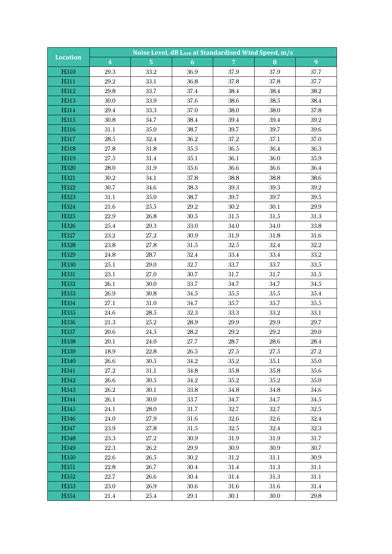|                  |                         |                         |                  | Noise Level, dB LA90 at Standardised Wind Speed, m/s |          |          |  |
|------------------|-------------------------|-------------------------|------------------|------------------------------------------------------|----------|----------|--|
| <b>Location</b>  | $\overline{\mathbf{4}}$ | $\overline{\mathbf{5}}$ | $\boldsymbol{6}$ | $\overline{7}$                                       | 8        | 9        |  |
| H310             | 29.3                    | 33.2                    | 36.9             | 37.9                                                 | 37.9     | 37.7     |  |
| H311             | $29.2\,$                | 33.1                    | 36.8             | 37.8                                                 | 37.8     | 37.7     |  |
| H312             | 29.8                    | 33.7                    | $37.4\,$         | 38.4                                                 | 38.4     | 38.2     |  |
| H313             | 30.0                    | 33.9                    | 37.6             | 38.6                                                 | 38.5     | 38.4     |  |
| H314             | $29.4\,$                | 33.3                    | 37.0             | 38.0                                                 | 38.0     | 37.8     |  |
| H315             | 30.8                    | 34.7                    | 38.4             | 39.4                                                 | 39.4     | $39.2\,$ |  |
| H316             | 31.1                    | 35.0                    | 38.7             | 39.7                                                 | 39.7     | 39.6     |  |
| H317             | $28.5\,$                | 32.4                    | 36.2             | 37.2                                                 | 37.1     | 37.0     |  |
| H318             | 27.8                    | 31.8                    | $35.5\,$         | 36.5                                                 | 36.4     | 36.3     |  |
| H319             | 27.5                    | 31.4                    | 35.1             | 36.1                                                 | 36.0     | 35.9     |  |
| H320             | 28.0                    | 31.9                    | 35.6             | 36.6                                                 | 36.6     | 36.4     |  |
| H321             | 30.2                    | 34.1                    | 37.8             | 38.8                                                 | 38.8     | 38.6     |  |
| H322             | 30.7                    | 34.6                    | 38.3             | $39.3\,$                                             | 39.3     | $39.2\,$ |  |
| H323             | 31.1                    | 35.0                    | 38.7             | 39.7                                                 | 39.7     | $39.5\,$ |  |
| H324             | $21.6\,$                | $25.5\,$                | 29.2             | 30.2                                                 | 30.1     | 29.9     |  |
| H325             | $22.9\,$                | 26.8                    | $30.5\,$         | $31.5\,$                                             | 31.5     | 31.3     |  |
| H326             | $25.4\,$                | 29.3                    | 33.0             | 34.0                                                 | 34.0     | 33.8     |  |
| H327             | $23.2\,$                | 27.2                    | 30.9             | 31.9                                                 | 31.8     | 31.6     |  |
| H328             | 23.8                    | 27.8                    | $31.5\,$         | $32.5\,$                                             | 32.4     | $32.2\,$ |  |
| H329             | 24.8                    | 28.7                    | 32.4             | $33.4\,$                                             | 33.4     | $33.2\,$ |  |
| H330             | 25.1                    | 29.0                    | 32.7             | 33.7                                                 | 33.7     | 33.5     |  |
| H331             | 23.1                    | 27.0                    | $30.7\,$         | 31.7                                                 | 31.7     | 31.5     |  |
| H332             | 26.1                    | 30.0                    | 33.7             | 34.7                                                 | 34.7     | 34.5     |  |
| H333             | 26.9                    | 30.8                    | 34.5             | 35.5                                                 | $35.5\,$ | $35.4\,$ |  |
| H334             | 27.1                    | 31.0                    | 34.7             | 35.7                                                 | 35.7     | $35.5\,$ |  |
| H335             | 24.6                    | $28.5\,$                | 32.3             | 33.3                                                 | 33.2     | 33.1     |  |
| H336             | $21.3\,$                | $25.2\,$                | $28.9\,$         | $29.9\,$                                             | 29.9     | 29.7     |  |
| H337             | $20.6\,$                | $24.5\,$                | 28.2             | 29.2                                                 | $29.2\,$ | 29.0     |  |
| H338             | 20.1                    | $24.0\,$                | $27.7\,$         | $28.7\,$                                             | $28.6\,$ | $28.4\,$ |  |
| H339             | 18.9                    | 22.8                    | 26.5             | 27.5                                                 | 27.5     | 27.2     |  |
| H340             | 26.6                    | 30.5                    | 34.2             | 35.2                                                 | 35.1     | 35.0     |  |
| H341             | 27.2                    | 31.1                    | 34.8             | 35.8                                                 | 35.8     | 35.6     |  |
| H342             | 26.6                    | 30.5                    | 34.2             | $35.2\,$                                             | $35.2\,$ | 35.0     |  |
| H343             | $26.2\,$                | 30.1                    | 33.8             | 34.8                                                 | 34.8     | 34.6     |  |
| H344             | 26.1                    | 30.0                    | 33.7             | 34.7                                                 | 34.7     | 34.5     |  |
| H345             | 24.1                    | 28.0                    | 31.7             | 32.7                                                 | 32.7     | 32.5     |  |
| H346             | 24.0                    | 27.9                    | 31.6             | 32.6                                                 | 32.6     | 32.4     |  |
| H347             | 23.9                    | 27.8                    | 31.5             | 32.5                                                 | 32.4     | 32.3     |  |
| H348             | 23.3                    | 27.2                    | 30.9             | 31.9                                                 | $31.9\,$ | 31.7     |  |
| H349             | 22.3                    | 26.2                    | 29.9             | 30.9                                                 | 30.9     | 30.7     |  |
| H <sub>350</sub> | 22.6                    | 26.5                    | 30.2             | 31.2                                                 | 31.1     | 30.9     |  |
| H351             | 22.8                    | 26.7                    | 30.4             | 31.4                                                 | 31.3     | $31.1\,$ |  |
| H352             | 22.7                    | 26.6                    | 30.4             | 31.4                                                 | 31.3     | 31.1     |  |
| H353             | 23.0                    | 26.9                    | 30.6             | 31.6                                                 | 31.6     | $31.4\,$ |  |
| H354             | 21.4                    | 25.4                    | 29.1             | 30.1                                                 | 30.0     | 29.8     |  |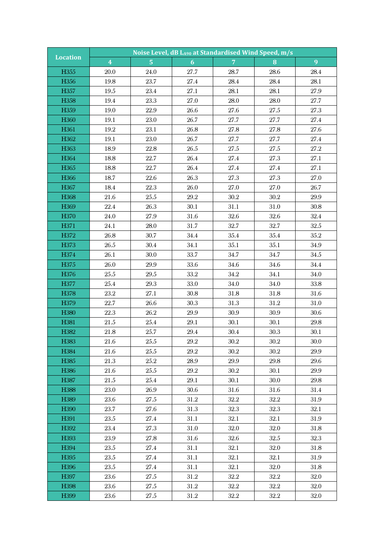| <b>Location</b>           |                         | Noise Level, dB LA90 at Standardised Wind Speed, m/s |              |                |                  |              |  |  |
|---------------------------|-------------------------|------------------------------------------------------|--------------|----------------|------------------|--------------|--|--|
|                           | $\overline{\mathbf{4}}$ | $\overline{5}$                                       | 6            | 7 <sup>°</sup> | 8                | 9            |  |  |
| H355                      | <b>20.0</b>             | 24.0                                                 | 27.7         | 28.7           | 28.6             | 28.4         |  |  |
| H356                      | 19.8                    | 23.7                                                 | 27.4         | 28.4           | 28.4             | 28.1         |  |  |
| H357                      | 19.5                    | 23.4                                                 | 27.1         | 28.1           | 28.1             | 27.9         |  |  |
| H358                      | 19.4                    | 23.3                                                 | 27.0         | 28.0           | 28.0             | 27.7         |  |  |
| H359                      | 19.0                    | $22.9\,$                                             | 26.6         | 27.6           | 27.5             | 27.3         |  |  |
| H360                      | 19.1                    | 23.0                                                 | 26.7         | 27.7           | 27.7             | 27.4         |  |  |
| H361                      | 19.2                    | 23.1                                                 | $26.8\,$     | $27.8\,$       | 27.8             | 27.6         |  |  |
| H362                      | 19.1                    | 23.0                                                 | 26.7         | 27.7           | 27.7             | 27.4         |  |  |
| H363                      | 18.9                    | 22.8                                                 | $26.5\,$     | $27.5\,$       | $27.5\,$         | 27.2         |  |  |
| H364                      | 18.8                    | 22.7                                                 | 26.4         | 27.4           | 27.3             | 27.1         |  |  |
| H365                      | 18.8                    | 22.7                                                 | $26.4\,$     | 27.4           | 27.4             | 27.1         |  |  |
| H366                      | 18.7                    | $22.6\,$                                             | $26.3\,$     | 27.3           | 27.3             | 27.0         |  |  |
| H367                      | 18.4                    | 22.3                                                 | $26.0\,$     | 27.0           | 27.0             | 26.7         |  |  |
| H368                      | $21.6\,$                | $25.5\,$                                             | 29.2         | $30.2\,$       | $30.2\,$         | 29.9         |  |  |
| H369                      | 22.4                    | 26.3                                                 | 30.1         | 31.1           | 31.0             | $30.8\,$     |  |  |
| H370                      | $24.0\,$                | 27.9                                                 | 31.6         | $32.6\,$       | 32.6             | $32.4\,$     |  |  |
| H371                      | 24.1                    | 28.0                                                 | 31.7         | 32.7           | 32.7             | $32.5\,$     |  |  |
| H372                      | $26.8\,$                | 30.7                                                 | $34.4\,$     | $35.4\,$       | 35.4             | $35.2\,$     |  |  |
| H373                      | $26.5\,$                | 30.4                                                 | 34.1         | 35.1           | 35.1             | $34.9\,$     |  |  |
| H374                      | 26.1                    | 30.0                                                 | 33.7         | 34.7           | 34.7             | 34.5         |  |  |
| H375                      | $26.0\,$                | $29.9\,$                                             | $33.6\,$     | 34.6           | 34.6             | 34.4         |  |  |
| H376                      | $25.5\,$                | $29.5\,$                                             | $33.2\,$     | $34.2\,$       | 34.1             | $34.0\,$     |  |  |
| H377                      | $25.4\,$                | 29.3                                                 | 33.0         | $34.0\,$       | 34.0             | 33.8         |  |  |
| H378                      | $23.2\,$                | 27.1                                                 | $30.8\,$     | 31.8           | 31.8             | 31.6         |  |  |
| H379                      | 22.7                    | 26.6                                                 | 30.3         | $31.3\,$       | $31.2\,$         | $31.0\,$     |  |  |
| H380                      | 22.3                    | $26.2\,$                                             | 29.9         | 30.9           | 30.9             | 30.6         |  |  |
| H381                      | $21.5\,$                | $25.4\,$                                             | $29.1\,$     | 30.1           | $30.1\,$         | $29.8\,$     |  |  |
| H382                      | 21.8                    | 25.7                                                 | 29.4         | 30.4           | 30.3             | 30.1         |  |  |
| H383                      | 21.6                    | $25.5\,$                                             | $29.2\,$     | $30.2\,$       | $30.2\,$         | 30.0         |  |  |
| H384                      | 21.6                    | 25.5                                                 | 29.2         | 30.2           | 30.2             | 29.9         |  |  |
| H385                      | 21.3                    | 25.2                                                 | 28.9         | 29.9           | 29.8             | 29.6         |  |  |
| H <sub>3</sub> 86         | 21.6                    | 25.5                                                 | 29.2         | 30.2           | 30.1<br>$30.0\,$ | 29.9         |  |  |
| H387<br>H <sub>3</sub> 88 | 21.5<br>23.0            | 25.4<br>26.9                                         | 29.1<br>30.6 | 30.1<br>31.6   | 31.6             | 29.8<br>31.4 |  |  |
| H389                      | 23.6                    | 27.5                                                 | 31.2         | 32.2           | 32.2             | 31.9         |  |  |
| H <sub>390</sub>          | 23.7                    | 27.6                                                 | 31.3         | 32.3           | 32.3             | 32.1         |  |  |
| H391                      | 23.5                    | 27.4                                                 | 31.1         | 32.1           | 32.1             | $31.9\,$     |  |  |
| H392                      | 23.4                    | 27.3                                                 | 31.0         | 32.0           | 32.0             | 31.8         |  |  |
| H393                      | 23.9                    | 27.8                                                 | 31.6         | 32.6           | 32.5             | 32.3         |  |  |
| H394                      | 23.5                    | 27.4                                                 | 31.1         | 32.1           | 32.0             | 31.8         |  |  |
| H395                      | 23.5                    | 27.4                                                 | 31.1         | 32.1           | 32.1             | $31.9\,$     |  |  |
| H396                      | 23.5                    | 27.4                                                 | 31.1         | 32.1           | 32.0             | 31.8         |  |  |
| H397                      | 23.6                    | 27.5                                                 | 31.2         | 32.2           | 32.2             | 32.0         |  |  |
| H <sub>398</sub>          | 23.6                    | 27.5                                                 | 31.2         | 32.2           | 32.2             | 32.0         |  |  |
| H399                      | 23.6                    | 27.5                                                 | 31.2         | 32.2           | $32.2\,$         | 32.0         |  |  |
|                           |                         |                                                      |              |                |                  |              |  |  |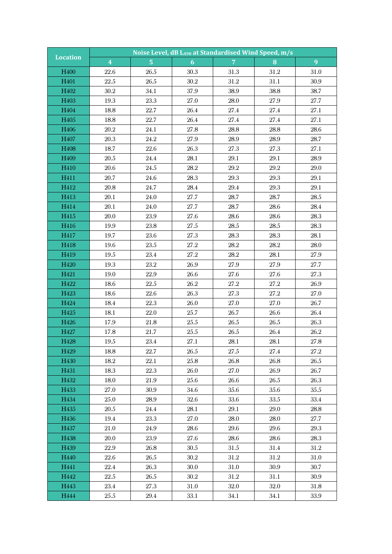|                          | Noise Level, dB LA90 at Standardised Wind Speed, m/s<br><b>Location</b> |                |                |                |              |                |  |  |
|--------------------------|-------------------------------------------------------------------------|----------------|----------------|----------------|--------------|----------------|--|--|
|                          | $\overline{\mathbf{4}}$                                                 | $\overline{5}$ | 6 <sup>1</sup> | $\overline{7}$ | 8            | $\overline{9}$ |  |  |
| H <sub>400</sub>         | 22.6                                                                    | 26.5           | 30.3           | 31.3           | 31.2         | 31.0           |  |  |
| H <sub>401</sub>         | $22.5\,$                                                                | 26.5           | $30.2\,$       | $31.2\,$       | 31.1         | 30.9           |  |  |
| H402                     | 30.2                                                                    | 34.1           | 37.9           | 38.9           | 38.8         | 38.7           |  |  |
| H <sub>403</sub>         | 19.3                                                                    | 23.3           | 27.0           | 28.0           | 27.9         | 27.7           |  |  |
| H404                     | 18.8                                                                    | 22.7           | 26.4           | 27.4           | 27.4         | 27.1           |  |  |
| H405                     | 18.8                                                                    | 22.7           | 26.4           | 27.4           | 27.4         | 27.1           |  |  |
| H406                     | $20.2\,$                                                                | 24.1           | 27.8           | 28.8           | 28.8         | 28.6           |  |  |
| H407                     | 20.3                                                                    | $24.2\,$       | 27.9           | 28.9           | 28.9         | 28.7           |  |  |
| H408                     | 18.7                                                                    | 22.6           | 26.3           | 27.3           | 27.3         | 27.1           |  |  |
| H <sub>409</sub>         | 20.5                                                                    | 24.4           | 28.1           | 29.1           | 29.1         | 28.9           |  |  |
| H410                     | 20.6                                                                    | 24.5           | $28.2\,$       | $29.2\,$       | $29.2\,$     | 29.0           |  |  |
| H411                     | 20.7                                                                    | $24.6\,$       | 28.3           | 29.3           | 29.3         | 29.1           |  |  |
| H412                     | 20.8                                                                    | 24.7           | 28.4           | $29.4\,$       | 29.3         | 29.1           |  |  |
| H413                     | 20.1                                                                    | 24.0           | 27.7           | 28.7           | 28.7         | $28.5\,$       |  |  |
| H414                     | 20.1                                                                    | 24.0           | 27.7           | 28.7           | 28.6         | 28.4           |  |  |
| H415                     | 20.0                                                                    | 23.9           | 27.6           | 28.6           | 28.6         | 28.3           |  |  |
| H416                     | 19.9                                                                    | $23.8\,$       | $27.5\,$       | 28.5           | 28.5         | 28.3           |  |  |
| H417                     | 19.7                                                                    | 23.6           | 27.3           | 28.3           | 28.3         | 28.1           |  |  |
| H418                     | 19.6                                                                    | 23.5           | 27.2           | 28.2           | 28.2         | 28.0           |  |  |
| H419                     | 19.5                                                                    | 23.4           | 27.2           | $28.2\,$       | 28.1         | 27.9           |  |  |
| H420                     | 19.3                                                                    | 23.2           | 26.9           | 27.9           | 27.9         | 27.7           |  |  |
| H421                     | 19.0                                                                    | 22.9           | $26.6\,$       | 27.6           | 27.6         | 27.3           |  |  |
| H422                     | 18.6                                                                    | 22.5           | 26.2           | 27.2           | 27.2         | 26.9           |  |  |
| H423                     | 18.6                                                                    | 22.6           | 26.3           | 27.3           | 27.2         | 27.0           |  |  |
| H424                     | 18.4                                                                    | 22.3           | 26.0           | 27.0           | 27.0         | 26.7           |  |  |
| H425                     | 18.1                                                                    | 22.0           | 25.7           | 26.7           | 26.6         | 26.4           |  |  |
| H426                     | 17.9                                                                    | 21.8           | $25.5\,$       | $26.5\,$       | $26.5\,$     | 26.3           |  |  |
| H427                     | 17.8                                                                    | 21.7           | 25.5           | 26.5           | 26.4         | 26.2           |  |  |
| H428                     | 19.5                                                                    | $23.4\,$       | 27.1           | 28.1           | $28.1\,$     | $27.8\,$       |  |  |
| H <sub>429</sub>         | 18.8                                                                    | 22.7           | 26.5           | 27.5           | 27.4         | 27.2           |  |  |
| H <sub>430</sub><br>H431 | 18.2<br>18.3                                                            | 22.1<br>22.3   | 25.8<br>26.0   | 26.8<br>27.0   | 26.8<br>26.9 | 26.5<br>26.7   |  |  |
| H432                     | 18.0                                                                    | 21.9           | 25.6           | 26.6           | 26.5         | 26.3           |  |  |
| H433                     | 27.0                                                                    | 30.9           | 34.6           | 35.6           | 35.6         | $35.5\,$       |  |  |
| H434                     | 25.0                                                                    | 28.9           | 32.6           | 33.6           | 33.5         | 33.4           |  |  |
| H435                     | 20.5                                                                    | 24.4           | 28.1           | 29.1           | 29.0         | 28.8           |  |  |
| H436                     | 19.4                                                                    | 23.3           | 27.0           | 28.0           | 28.0         | 27.7           |  |  |
| H437                     | 21.0                                                                    | 24.9           | 28.6           | 29.6           | 29.6         | 29.3           |  |  |
| H438                     | 20.0                                                                    | 23.9           | 27.6           | 28.6           | 28.6         | $28.3\,$       |  |  |
| H439                     | 22.9                                                                    | 26.8           | 30.5           | 31.5           | 31.4         | 31.2           |  |  |
| H440                     | 22.6                                                                    | 26.5           | 30.2           | 31.2           | 31.2         | 31.0           |  |  |
| H441                     | 22.4                                                                    | 26.3           | 30.0           | 31.0           | 30.9         | 30.7           |  |  |
| H442                     | $22.5\,$                                                                | 26.5           | 30.2           | $31.2\,$       | 31.1         | 30.9           |  |  |
| H443                     | 23.4                                                                    | 27.3           | 31.0           | 32.0           | 32.0         | $31.8\,$       |  |  |
| H444                     | 25.5                                                                    | 29.4           | 33.1           | 34.1           | 34.1         | 33.9           |  |  |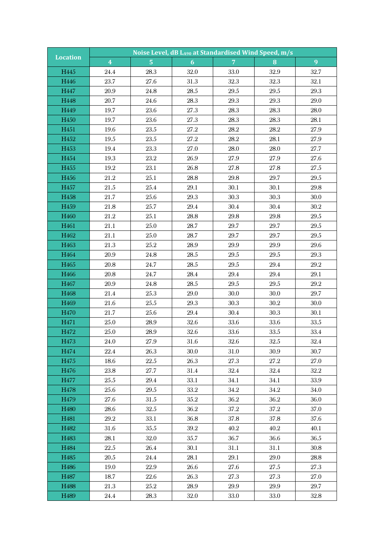| <b>Location</b>          |                         |                | Noise Level, dB LA90 at Standardised Wind Speed, m/s |                |              |              |  |  |
|--------------------------|-------------------------|----------------|------------------------------------------------------|----------------|--------------|--------------|--|--|
|                          | $\overline{\mathbf{4}}$ | $\overline{5}$ | 6                                                    | 7 <sup>1</sup> | 8            | 9            |  |  |
| H445                     | 24.4                    | 28.3           | 32.0                                                 | 33.0           | 32.9         | 32.7         |  |  |
| H446                     | 23.7                    | 27.6           | 31.3                                                 | 32.3           | 32.3         | 32.1         |  |  |
| H447                     | 20.9                    | 24.8           | $28.5\,$                                             | $29.5\,$       | $29.5\,$     | $29.3\,$     |  |  |
| H448                     | $20.7\,$                | 24.6           | 28.3                                                 | 29.3           | 29.3         | 29.0         |  |  |
| H449                     | 19.7                    | $23.6\,$       | 27.3                                                 | 28.3           | 28.3         | 28.0         |  |  |
| H450                     | 19.7                    | 23.6           | 27.3                                                 | 28.3           | 28.3         | 28.1         |  |  |
| H451                     | 19.6                    | 23.5           | 27.2                                                 | $28.2\,$       | $28.2\,$     | $27.9\,$     |  |  |
| H452                     | 19.5                    | 23.5           | 27.2                                                 | 28.2           | 28.1         | $27.9\,$     |  |  |
| H453                     | 19.4                    | 23.3           | 27.0                                                 | $28.0\,$       | 28.0         | 27.7         |  |  |
| H454                     | 19.3                    | 23.2           | 26.9                                                 | 27.9           | 27.9         | 27.6         |  |  |
| H455                     | 19.2                    | 23.1           | 26.8                                                 | 27.8           | 27.8         | 27.5         |  |  |
| H456                     | $21.2\,$                | 25.1           | $28.8\,$                                             | 29.8           | 29.7         | $29.5\,$     |  |  |
| H457                     | 21.5                    | 25.4           | 29.1                                                 | 30.1           | 30.1         | 29.8         |  |  |
| H458                     | 21.7                    | 25.6           | 29.3                                                 | 30.3           | 30.3         | 30.0         |  |  |
| H459                     | 21.8                    | 25.7           | $29.4\,$                                             | 30.4           | 30.4         | $30.2\,$     |  |  |
| H460                     | $21.2\,$                | 25.1           | 28.8                                                 | 29.8           | 29.8         | $29.5\,$     |  |  |
| H461                     | 21.1                    | 25.0           | 28.7                                                 | 29.7           | 29.7         | $29.5\,$     |  |  |
| H462                     | $21.1\,$                | 25.0           | 28.7                                                 | 29.7           | 29.7         | $29.5\,$     |  |  |
| H463                     | 21.3                    | $25.2\,$       | 28.9                                                 | 29.9           | 29.9         | 29.6         |  |  |
| H464                     | 20.9                    | 24.8           | 28.5                                                 | 29.5           | $29.5\,$     | 29.3         |  |  |
| H465                     | 20.8                    | 24.7           | $28.5\,$                                             | $29.5\,$       | 29.4         | $29.2\,$     |  |  |
| H466                     | 20.8                    | 24.7           | 28.4                                                 | $29.4\,$       | $29.4\,$     | 29.1         |  |  |
| H467                     | $20.9\,$                | 24.8           | $28.5\,$                                             | $29.5\,$       | $29.5\,$     | 29.2         |  |  |
| H468                     | 21.4                    | 25.3           | 29.0                                                 | $30.0\,$       | 30.0         | 29.7         |  |  |
| H469                     | $21.6\,$                | $25.5\,$       | $29.3\,$                                             | 30.3           | $30.2\,$     | 30.0         |  |  |
| H470                     | 21.7                    | 25.6           | 29.4                                                 | 30.4           | 30.3         | 30.1         |  |  |
| H471                     | $25.0\,$                | 28.9           | 32.6                                                 | $33.6\,$       | $33.6\,$     | $33.5\,$     |  |  |
| H472                     | 25.0                    | 28.9           | 32.6                                                 | 33.6           | 33.5         | 33.4         |  |  |
| H473                     | 24.0                    | 27.9           | 31.6                                                 | 32.6           | $32.5\,$     | $32.4\,$     |  |  |
| H474                     | 22.4                    | 26.3           | 30.0                                                 | 31.0           | 30.9         | 30.7         |  |  |
| H475                     | 18.6                    | 22.5           | 26.3                                                 | 27.3           | 27.2         | 27.0         |  |  |
| H <sub>476</sub><br>H477 | 23.8<br>25.5            | 27.7<br>29.4   | 31.4<br>33.1                                         | 32.4<br>34.1   | 32.4<br>34.1 | 32.2<br>33.9 |  |  |
| H478                     | 25.6                    | 29.5           | 33.2                                                 | 34.2           | 34.2         | 34.0         |  |  |
| H <sub>479</sub>         | 27.6                    | $31.5\,$       | 35.2                                                 | 36.2           | 36.2         | 36.0         |  |  |
| H480                     | 28.6                    | 32.5           | 36.2                                                 | $37.2\,$       | 37.2         | 37.0         |  |  |
| H481                     | 29.2                    | 33.1           | 36.8                                                 | 37.8           | 37.8         | 37.6         |  |  |
| H482                     | 31.6                    | 35.5           | 39.2                                                 | 40.2           | 40.2         | 40.1         |  |  |
| H <sub>483</sub>         | 28.1                    | 32.0           | 35.7                                                 | 36.7           | 36.6         | 36.5         |  |  |
| H484                     | 22.5                    | 26.4           | 30.1                                                 | 31.1           | 31.1         | $30.8\,$     |  |  |
| H485                     | 20.5                    | 24.4           | 28.1                                                 | 29.1           | 29.0         | 28.8         |  |  |
| H486                     | 19.0                    | 22.9           | 26.6                                                 | 27.6           | 27.5         | 27.3         |  |  |
| H487                     | 18.7                    | 22.6           | 26.3                                                 | 27.3           | 27.3         | 27.0         |  |  |
| H <sub>488</sub>         | 21.3                    | 25.2           | 28.9                                                 | 29.9           | 29.9         | 29.7         |  |  |
| H489                     | 24.4                    | 28.3           | 32.0                                                 | 33.0           | 33.0         | 32.8         |  |  |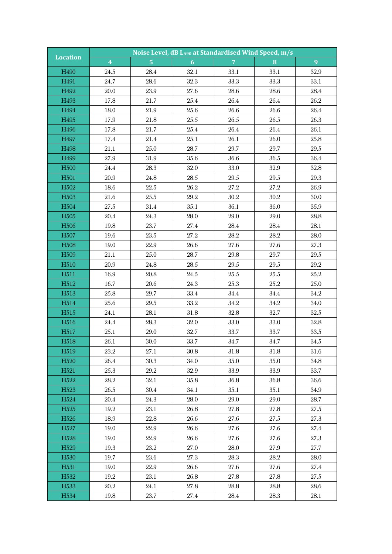| <b>Location</b>  |                         |                | Noise Level, dB LA90 at Standardised Wind Speed, m/s |                |          |          |
|------------------|-------------------------|----------------|------------------------------------------------------|----------------|----------|----------|
|                  | $\overline{\mathbf{4}}$ | $\overline{5}$ | 6                                                    | $\overline{7}$ | 8        | 9        |
| H490             | 24.5                    | 28.4           | 32.1                                                 | 33.1           | 33.1     | 32.9     |
| H491             | 24.7                    | 28.6           | 32.3                                                 | 33.3           | 33.3     | 33.1     |
| H492             | 20.0                    | 23.9           | 27.6                                                 | 28.6           | 28.6     | 28.4     |
| H493             | 17.8                    | 21.7           | $25.4\,$                                             | $26.4\,$       | 26.4     | $26.2\,$ |
| H494             | 18.0                    | 21.9           | 25.6                                                 | $26.6\,$       | 26.6     | 26.4     |
| H495             | 17.9                    | 21.8           | $25.5\,$                                             | $26.5\,$       | 26.5     | 26.3     |
| H496             | 17.8                    | 21.7           | $25.4\,$                                             | $26.4\,$       | 26.4     | 26.1     |
| H497             | 17.4                    | 21.4           | 25.1                                                 | 26.1           | 26.0     | 25.8     |
| H498             | $21.1\,$                | 25.0           | 28.7                                                 | 29.7           | 29.7     | $29.5\,$ |
| H499             | 27.9                    | 31.9           | 35.6                                                 | 36.6           | 36.5     | 36.4     |
| H <sub>500</sub> | 24.4                    | 28.3           | 32.0                                                 | 33.0           | 32.9     | 32.8     |
| H <sub>501</sub> | $20.9\,$                | 24.8           | $28.5\,$                                             | $29.5\,$       | 29.5     | $29.3\,$ |
| H <sub>502</sub> | 18.6                    | 22.5           | $26.2\,$                                             | 27.2           | 27.2     | 26.9     |
| H <sub>503</sub> | $21.6\,$                | 25.5           | $29.2\,$                                             | $30.2\,$       | $30.2\,$ | 30.0     |
| H504             | 27.5                    | 31.4           | 35.1                                                 | 36.1           | 36.0     | $35.9\,$ |
| H <sub>505</sub> | $20.4\,$                | 24.3           | 28.0                                                 | 29.0           | 29.0     | 28.8     |
| H <sub>506</sub> | 19.8                    | 23.7           | 27.4                                                 | 28.4           | 28.4     | 28.1     |
| H <sub>507</sub> | $19.6\,$                | $23.5\,$       | $27.2\,$                                             | $28.2\,$       | $28.2\,$ | 28.0     |
| H <sub>508</sub> | 19.0                    | $22.9\,$       | 26.6                                                 | 27.6           | 27.6     | 27.3     |
| H <sub>509</sub> | 21.1                    | 25.0           | 28.7                                                 | 29.8           | 29.7     | $29.5\,$ |
| H <sub>510</sub> | $20.9\,$                | 24.8           | $28.5\,$                                             | 29.5           | $29.5\,$ | $29.2\,$ |
| H <sub>511</sub> | 16.9                    | 20.8           | 24.5                                                 | $25.5\,$       | $25.5\,$ | $25.2\,$ |
| H512             | 16.7                    | 20.6           | 24.3                                                 | 25.3           | $25.2\,$ | 25.0     |
| H513             | 25.8                    | 29.7           | 33.4                                                 | 34.4           | 34.4     | $34.2\,$ |
| H514             | 25.6                    | $29.5\,$       | $33.2\,$                                             | $34.2\,$       | $34.2\,$ | 34.0     |
| H <sub>515</sub> | 24.1                    | 28.1           | 31.8                                                 | 32.8           | 32.7     | 32.5     |
| H516             | $24.4\,$                | 28.3           | 32.0                                                 | $33.0\,$       | 33.0     | $32.8\,$ |
| H <sub>517</sub> | $25.1\,$                | 29.0           | 32.7                                                 | 33.7           | 33.7     | 33.5     |
| H <sub>518</sub> | 26.1                    | 30.0           | 33.7                                                 | 34.7           | 34.7     | 34.5     |
| H <sub>519</sub> | 23.2                    | 27.1           | 30.8                                                 | 31.8           | 31.8     | 31.6     |
| H <sub>520</sub> | 26.4                    | 30.3           | 34.0                                                 | 35.0           | 35.0     | $34.8\,$ |
| H <sub>521</sub> | 25.3                    | 29.2           | 32.9                                                 | 33.9           | 33.9     | 33.7     |
| H522             | 28.2                    | 32.1           | 35.8                                                 | 36.8           | 36.8     | 36.6     |
| H <sub>523</sub> | 26.5                    | 30.4           | 34.1                                                 | 35.1           | 35.1     | 34.9     |
| H <sub>524</sub> | 20.4                    | 24.3           | 28.0                                                 | 29.0           | 29.0     | 28.7     |
| H <sub>525</sub> | 19.2                    | 23.1           | 26.8                                                 | 27.8           | 27.8     | 27.5     |
| H <sub>526</sub> | 18.9                    | 22.8           | 26.6                                                 | 27.6           | 27.5     | 27.3     |
| H527             | 19.0                    | 22.9           | 26.6                                                 | 27.6           | 27.6     | 27.4     |
| H <sub>528</sub> | 19.0                    | 22.9           | 26.6                                                 | 27.6           | 27.6     | 27.3     |
| H <sub>529</sub> | 19.3                    | 23.2           | 27.0                                                 | 28.0           | 27.9     | 27.7     |
| H <sub>530</sub> | 19.7                    | 23.6           | 27.3                                                 | 28.3           | 28.2     | 28.0     |
| H531             | 19.0                    | $22.9\,$       | 26.6                                                 | 27.6           | 27.6     | 27.4     |
| H <sub>532</sub> | 19.2                    | 23.1           | 26.8                                                 | 27.8           | 27.8     | 27.5     |
| H <sub>533</sub> | 20.2                    | 24.1           | 27.8                                                 | 28.8           | 28.8     | 28.6     |
| H534             | 19.8                    | 23.7           | 27.4                                                 | 28.4           | 28.3     | 28.1     |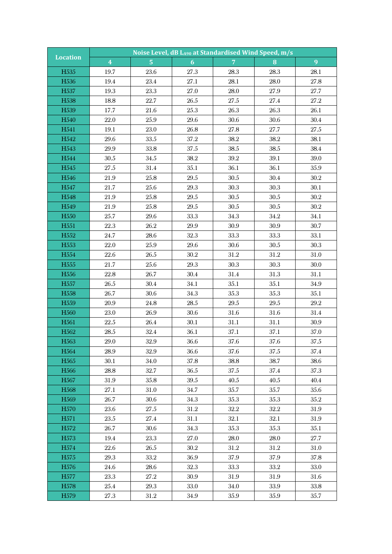| <b>Location</b>  | Noise Level, dB LA90 at Standardised Wind Speed, m/s |                |                |                |          |          |  |  |
|------------------|------------------------------------------------------|----------------|----------------|----------------|----------|----------|--|--|
|                  | $\overline{\mathbf{4}}$                              | $\overline{5}$ | 6 <sup>1</sup> | $\overline{7}$ | 8        | 9        |  |  |
| H <sub>535</sub> | 19.7                                                 | 23.6           | 27.3           | 28.3           | 28.3     | 28.1     |  |  |
| H536             | 19.4                                                 | 23.4           | 27.1           | 28.1           | 28.0     | $27.8\,$ |  |  |
| H537             | 19.3                                                 | 23.3           | 27.0           | 28.0           | 27.9     | 27.7     |  |  |
| H <sub>538</sub> | 18.8                                                 | 22.7           | $26.5\,$       | $27.5\,$       | 27.4     | $27.2\,$ |  |  |
| H <sub>539</sub> | 17.7                                                 | 21.6           | $25.3\,$       | 26.3           | 26.3     | $26.1\,$ |  |  |
| H540             | 22.0                                                 | 25.9           | 29.6           | 30.6           | 30.6     | $30.4\,$ |  |  |
| H541             | 19.1                                                 | 23.0           | 26.8           | $27.8\,$       | 27.7     | 27.5     |  |  |
| H542             | 29.6                                                 | $33.5\,$       | 37.2           | 38.2           | 38.2     | 38.1     |  |  |
| H543             | $29.9\,$                                             | 33.8           | 37.5           | 38.5           | 38.5     | 38.4     |  |  |
| H544             | $30.5\,$                                             | 34.5           | 38.2           | $39.2\,$       | 39.1     | 39.0     |  |  |
| H545             | $27.5\,$                                             | 31.4           | 35.1           | 36.1           | 36.1     | $35.9\,$ |  |  |
| H546             | $21.9\,$                                             | 25.8           | 29.5           | $30.5\,$       | 30.4     | 30.2     |  |  |
| H547             | 21.7                                                 | 25.6           | $29.3\,$       | $30.3\,$       | 30.3     | 30.1     |  |  |
| H <sub>548</sub> | 21.9                                                 | 25.8           | $29.5\,$       | $30.5\,$       | $30.5\,$ | $30.2\,$ |  |  |
| H549             | 21.9                                                 | 25.8           | 29.5           | $30.5\,$       | $30.5\,$ | $30.2\,$ |  |  |
| H <sub>550</sub> | 25.7                                                 | 29.6           | 33.3           | 34.3           | $34.2\,$ | 34.1     |  |  |
| H <sub>551</sub> | 22.3                                                 | 26.2           | 29.9           | 30.9           | 30.9     | 30.7     |  |  |
| H <sub>552</sub> | 24.7                                                 | 28.6           | 32.3           | 33.3           | 33.3     | 33.1     |  |  |
| H <sub>553</sub> | 22.0                                                 | 25.9           | 29.6           | 30.6           | 30.5     | 30.3     |  |  |
| H554             | $22.6\,$                                             | 26.5           | $30.2\,$       | $31.2\,$       | $31.2\,$ | 31.0     |  |  |
| H <sub>555</sub> | 21.7                                                 | 25.6           | 29.3           | 30.3           | 30.3     | 30.0     |  |  |
| H <sub>556</sub> | 22.8                                                 | 26.7           | 30.4           | $31.4\,$       | 31.3     | 31.1     |  |  |
| H <sub>557</sub> | $26.5\,$                                             | 30.4           | 34.1           | 35.1           | 35.1     | 34.9     |  |  |
| H <sub>558</sub> | 26.7                                                 | 30.6           | 34.3           | 35.3           | 35.3     | 35.1     |  |  |
| H559             | $20.9\,$                                             | 24.8           | $28.5\,$       | $29.5\,$       | 29.5     | 29.2     |  |  |
| H <sub>560</sub> | 23.0                                                 | 26.9           | 30.6           | 31.6           | 31.6     | $31.4\,$ |  |  |
| H <sub>561</sub> | $22.5\,$                                             | 26.4           | 30.1           | $31.1\,$       | 31.1     | $30.9\,$ |  |  |
| H <sub>562</sub> | 28.5                                                 | 32.4           | 36.1           | 37.1           | 37.1     | 37.0     |  |  |
| H <sub>563</sub> | $29.0\,$                                             | $32.9\,$       | 36.6           | 37.6           | 37.6     | 37.5     |  |  |
| H <sub>564</sub> | 28.9                                                 | 32.9           | 36.6           | 37.6           | 37.5     | 37.4     |  |  |
| H <sub>565</sub> | 30.1                                                 | 34.0           | 37.8           | 38.8           | 38.7     | 38.6     |  |  |
| H <sub>566</sub> | 28.8                                                 | 32.7           | 36.5           | 37.5           | 37.4     | 37.3     |  |  |
| H <sub>567</sub> | 31.9                                                 | 35.8           | $39.5\,$       | 40.5           | 40.5     | 40.4     |  |  |
| H <sub>568</sub> | 27.1                                                 | 31.0           | 34.7           | 35.7           | 35.7     | 35.6     |  |  |
| H <sub>569</sub> | 26.7                                                 | 30.6           | 34.3           | 35.3           | 35.3     | $35.2\,$ |  |  |
| H <sub>570</sub> | $23.6\,$                                             | 27.5           | 31.2           | $32.2\,$       | 32.2     | 31.9     |  |  |
| H <sub>571</sub> | 23.5                                                 | 27.4           | 31.1           | 32.1           | 32.1     | 31.9     |  |  |
| H572             | 26.7                                                 | 30.6           | 34.3           | 35.3           | 35.3     | 35.1     |  |  |
| H <sub>573</sub> | 19.4                                                 | 23.3           | 27.0           | 28.0           | 28.0     | 27.7     |  |  |
| H574             | 22.6                                                 | 26.5           | 30.2           | 31.2           | 31.2     | 31.0     |  |  |
| H <sub>575</sub> | 29.3                                                 | 33.2           | 36.9           | 37.9           | 37.9     | 37.8     |  |  |
| H <sub>576</sub> | 24.6                                                 | 28.6           | $32.3\,$       | 33.3           | $33.2\,$ | 33.0     |  |  |
| H <sub>577</sub> | $23.3\,$                                             | 27.2           | 30.9           | 31.9           | 31.9     | 31.6     |  |  |
| H <sub>578</sub> | 25.4                                                 | 29.3           | 33.0           | 34.0           | 33.9     | 33.8     |  |  |
| H <sub>579</sub> | 27.3                                                 | 31.2           | 34.9           | 35.9           | 35.9     | 35.7     |  |  |